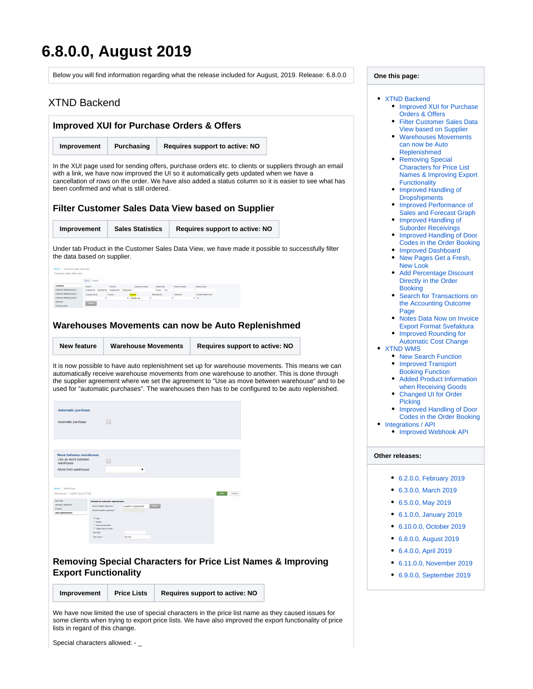# <span id="page-0-5"></span>**6.8.0.0, August 2019**

<span id="page-0-3"></span><span id="page-0-2"></span><span id="page-0-1"></span><span id="page-0-0"></span>

| Below you will find information regarding what the release included for August, 2019. Release: 6.8.0.0                                                                                                                                                                                                                                                                                                                                                                                                                                                           | One this page:                                                                                                                                                                                                                                                                 |
|------------------------------------------------------------------------------------------------------------------------------------------------------------------------------------------------------------------------------------------------------------------------------------------------------------------------------------------------------------------------------------------------------------------------------------------------------------------------------------------------------------------------------------------------------------------|--------------------------------------------------------------------------------------------------------------------------------------------------------------------------------------------------------------------------------------------------------------------------------|
| <b>XTND Backend</b>                                                                                                                                                                                                                                                                                                                                                                                                                                                                                                                                              | • XTND Backend<br>• Improved XUI for Purchase                                                                                                                                                                                                                                  |
| <b>Improved XUI for Purchase Orders &amp; Offers</b>                                                                                                                                                                                                                                                                                                                                                                                                                                                                                                             | <b>Orders &amp; Offers</b><br>• Filter Customer Sales Data<br><b>View based on Supplier</b>                                                                                                                                                                                    |
| Improvement<br>Purchasing<br><b>Requires support to active: NO</b>                                                                                                                                                                                                                                                                                                                                                                                                                                                                                               | • Warehouses Movements<br>can now be Auto<br>Replenishmed                                                                                                                                                                                                                      |
| In the XUI page used for sending offers, purchase orders etc. to clients or suppliers through an email<br>with a link, we have now improved the UI so it automatically gets updated when we have a<br>cancellation of rows on the order. We have also added a status column so it is easier to see what has<br>been confirmed and what is still ordered.                                                                                                                                                                                                         | • Removing Special<br><b>Characters for Price List</b><br><b>Names &amp; Improving Export</b><br><b>Functionality</b><br>• Improved Handling of<br><b>Dropshipments</b><br>• Improved Performance of                                                                           |
| <b>Filter Customer Sales Data View based on Supplier</b>                                                                                                                                                                                                                                                                                                                                                                                                                                                                                                         | <b>Sales and Forecast Graph</b><br>• Improved Handling of                                                                                                                                                                                                                      |
| <b>Sales Statistics</b><br>Improvement<br>Requires support to active: NO<br>Under tab Product in the Customer Sales Data View, we have made it possible to successfully filter<br>the data based on supplier.<br>Customer sales data view                                                                                                                                                                                                                                                                                                                        | <b>Suborder Receivings</b><br>• Improved Handling of Door<br><b>Codes in the Order Booking</b><br>• Improved Dashboard<br>• New Pages Get a Fresh,<br><b>New Look</b><br>• Add Percentage Discount                                                                             |
| None Product<br>Period 1<br>Period 2<br>Postal code<br>Customer statistical group 1<br>7/26/2019 8/25/2019 6/26/2019 7/26/2019<br>From To<br>Customer statistical group 2<br>Company group Country<br><b>Exclude freight n</b>                                                                                                                                                                                                                                                                                                                                   | Directly in the Order<br><b>Booking</b><br>• Search for Transactions on<br>the Accounting Outcome<br>Page<br>• Notes Data Now on Invoice                                                                                                                                       |
| Warehouses Movements can now be Auto Replenishmed                                                                                                                                                                                                                                                                                                                                                                                                                                                                                                                | <b>Export Format Svefaktura</b><br>• Improved Rounding for<br><b>Automatic Cost Change</b>                                                                                                                                                                                     |
| <b>New feature</b><br><b>Warehouse Movements</b><br><b>Requires support to active: NO</b><br>It is now possible to have auto replenishment set up for warehouse movements. This means we can<br>automatically receive warehouse movements from one warehouse to another. This is done through<br>the supplier agreement where we set the agreement to "Use as move between warehouse" and to be<br>used for "automatic purchases". The warehouses then has to be configured to be auto replenished.<br><b>Automatic purchase</b><br>$\Box$<br>Automatic purchase | • XTND WMS<br>• New Search Function<br>• Improved Transport<br><b>Booking Function</b><br>• Added Product Information<br>when Receiving Goods<br>• Changed UI for Order<br><b>Picking</b><br>• Improved Handling of Door<br>Codes in the Order Booking<br>• Integrations / API |
| Move between warehouse                                                                                                                                                                                                                                                                                                                                                                                                                                                                                                                                           | • Improved Webhook API<br>Other releases:                                                                                                                                                                                                                                      |
| tween<br>warehouse<br>Move from warehouse<br>$\pmb{\mathrm{v}}$<br>Home / Warehouse<br>Warehouse > GEAR COLLECTIVE<br>Save Cancel<br><b>Basic data</b><br>Alertings / Notification<br>Search<br>Search suppler agreement<br>supplier or agreement<br><b>Products</b><br>Selected suppler agreement "<br>Auto replenishment<br><b>Weekly</b><br><b>Every second week</b><br><b>Digitat days of month</b><br>Start date *<br>Time of day 1<br>hhmm                                                                                                                 | • 6.2.0.0, February 2019<br>• 6.3.0.0, March 2019<br>• 6.5.0.0, May 2019<br>6.1.0.0, January 2019<br>6.10.0.0, October 2019<br>٠<br>• 6.8.0.0, August 2019<br>6.4.0.0, April 2019<br>٠                                                                                         |
| <b>Removing Special Characters for Price List Names &amp; Improving</b><br><b>Export Functionality</b>                                                                                                                                                                                                                                                                                                                                                                                                                                                           | 6.11.0.0, November 2019<br>٠<br>6.9.0.0, September 2019<br>٠                                                                                                                                                                                                                   |
| Requires support to active: NO<br>Improvement<br><b>Price Lists</b>                                                                                                                                                                                                                                                                                                                                                                                                                                                                                              |                                                                                                                                                                                                                                                                                |
| We have now limited the use of special characters in the price list name as they caused issues for                                                                                                                                                                                                                                                                                                                                                                                                                                                               |                                                                                                                                                                                                                                                                                |

<span id="page-0-4"></span>some clients when trying to export price lists. We have also improved the export functionality of price lists in regard of this change.

Special characters allowed: - \_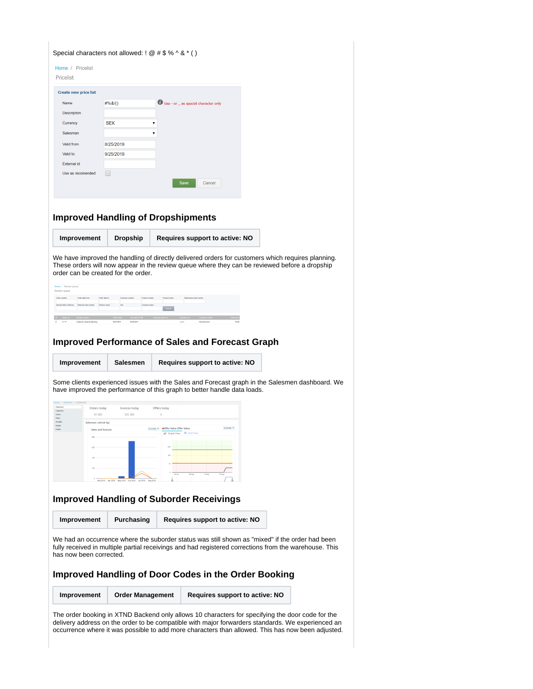<span id="page-1-1"></span><span id="page-1-0"></span>

| <b>Create new price list</b>                            |                           |                                                                          |                                                                                                                                                                                                          |
|---------------------------------------------------------|---------------------------|--------------------------------------------------------------------------|----------------------------------------------------------------------------------------------------------------------------------------------------------------------------------------------------------|
| Name                                                    | $\#%8/()$                 | Use - or _ as special character only                                     |                                                                                                                                                                                                          |
| <b>Description</b>                                      |                           |                                                                          |                                                                                                                                                                                                          |
| Currency                                                | <b>SEK</b>                |                                                                          |                                                                                                                                                                                                          |
| Salesman                                                |                           |                                                                          |                                                                                                                                                                                                          |
| Valid from                                              | 8/25/2019                 |                                                                          |                                                                                                                                                                                                          |
| Valid to                                                | 9/25/2019                 |                                                                          |                                                                                                                                                                                                          |
| <b>External id</b>                                      |                           |                                                                          |                                                                                                                                                                                                          |
| Use as recomended                                       | $\Box$                    |                                                                          |                                                                                                                                                                                                          |
|                                                         |                           | <b>Save</b><br>Cancel                                                    |                                                                                                                                                                                                          |
|                                                         |                           | <b>Improved Handling of Dropshipments</b>                                |                                                                                                                                                                                                          |
| Improvement                                             | <b>Dropship</b>           | Requires support to active: NO                                           |                                                                                                                                                                                                          |
|                                                         |                           |                                                                          |                                                                                                                                                                                                          |
|                                                         |                           | <b>Improved Performance of Sales and Forecast Graph</b>                  |                                                                                                                                                                                                          |
| Improvement                                             | Salesmen                  | Requires support to active: NO                                           |                                                                                                                                                                                                          |
|                                                         |                           | have improved the performance of this graph to better handle data loads. | Some clients experienced issues with the Sales and Forecast graph in the Salesmen dashboard. We                                                                                                          |
| Home / Salesmen / Dashboard<br>Dathout                  |                           | Offers today                                                             |                                                                                                                                                                                                          |
| Orders today<br>Customers<br>50 SEK<br>Orders<br>Offers | Invoices today<br>502 SEK | $\theta$                                                                 |                                                                                                                                                                                                          |
| Pricelata<br>Salesman: sehrish kpi<br>Eudget            |                           | 6 months                                                                 |                                                                                                                                                                                                          |
| Details<br>Sales and forecast                           |                           | Granta . Offer Value Offer Value<br>Craph Vie                            |                                                                                                                                                                                                          |
|                                                         |                           |                                                                          |                                                                                                                                                                                                          |
|                                                         |                           |                                                                          |                                                                                                                                                                                                          |
|                                                         |                           |                                                                          |                                                                                                                                                                                                          |
|                                                         | May 2019                  |                                                                          |                                                                                                                                                                                                          |
|                                                         |                           | <b>Improved Handling of Suborder Receivings</b>                          |                                                                                                                                                                                                          |
| Improvement                                             | Purchasing                | Requires support to active: NO                                           |                                                                                                                                                                                                          |
| has now been corrected.                                 |                           | <b>Improved Handling of Door Codes in the Order Booking</b>              | We had an occurrence where the suborder status was still shown as "mixed" if the order had been<br>fully received in multiple partial receivings and had registered corrections from the warehouse. This |

<span id="page-1-3"></span><span id="page-1-2"></span>occurrence where it was possible to add more characters than allowed. This has now been adjusted.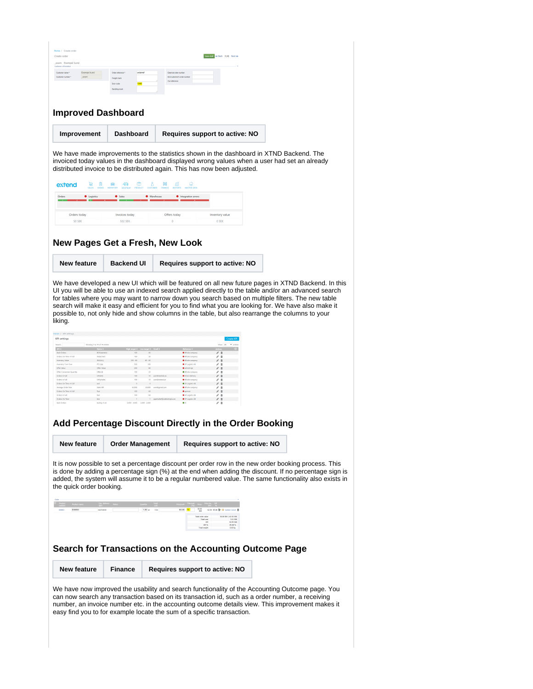<span id="page-2-1"></span><span id="page-2-0"></span>

| Home / Create order<br>Create order<br>exem Exempel kund                                                                                                                                                                                                                                                                                                                                                                                                                                                                                                                                                               |                                                                                                                                                               | Savediat: et Bock 3 (4) Next so                                                                                                                                                                                                                                                                                                                                                                                                                                                                                                                                                                                                                                                                                                                                                                                                                                                                                                                |
|------------------------------------------------------------------------------------------------------------------------------------------------------------------------------------------------------------------------------------------------------------------------------------------------------------------------------------------------------------------------------------------------------------------------------------------------------------------------------------------------------------------------------------------------------------------------------------------------------------------------|---------------------------------------------------------------------------------------------------------------------------------------------------------------|------------------------------------------------------------------------------------------------------------------------------------------------------------------------------------------------------------------------------------------------------------------------------------------------------------------------------------------------------------------------------------------------------------------------------------------------------------------------------------------------------------------------------------------------------------------------------------------------------------------------------------------------------------------------------------------------------------------------------------------------------------------------------------------------------------------------------------------------------------------------------------------------------------------------------------------------|
| Customer informati-<br>Exempel kund<br>Customer name *<br>Customer number *<br>ecem                                                                                                                                                                                                                                                                                                                                                                                                                                                                                                                                    | Order reference<br>orderret<br>Freightmark<br>Door code<br>1068                                                                                               | External order number<br>End customer's order number<br>Our reference                                                                                                                                                                                                                                                                                                                                                                                                                                                                                                                                                                                                                                                                                                                                                                                                                                                                          |
|                                                                                                                                                                                                                                                                                                                                                                                                                                                                                                                                                                                                                        | <b>Handing mark</b>                                                                                                                                           |                                                                                                                                                                                                                                                                                                                                                                                                                                                                                                                                                                                                                                                                                                                                                                                                                                                                                                                                                |
| <b>Improved Dashboard</b>                                                                                                                                                                                                                                                                                                                                                                                                                                                                                                                                                                                              |                                                                                                                                                               |                                                                                                                                                                                                                                                                                                                                                                                                                                                                                                                                                                                                                                                                                                                                                                                                                                                                                                                                                |
| Improvement                                                                                                                                                                                                                                                                                                                                                                                                                                                                                                                                                                                                            | Dashboard                                                                                                                                                     | Requires support to active: NO                                                                                                                                                                                                                                                                                                                                                                                                                                                                                                                                                                                                                                                                                                                                                                                                                                                                                                                 |
|                                                                                                                                                                                                                                                                                                                                                                                                                                                                                                                                                                                                                        |                                                                                                                                                               | We have made improvements to the statistics shown in the dashboard in XTND Backend. The<br>invoiced today values in the dashboard displayed wrong values when a user had set an already<br>distributed invoice to be distributed again. This has now been adjusted.                                                                                                                                                                                                                                                                                                                                                                                                                                                                                                                                                                                                                                                                            |
| $\bigoplus_{\mathsf{cap}^*}$<br>extend<br>口<br>surs                                                                                                                                                                                                                                                                                                                                                                                                                                                                                                                                                                    | $\oplus$<br>$\bigoplus$ PRODUC<br>≘<br>DROPSHIP                                                                                                               | $\frac{\Delta}{\text{cosrows}}$<br>国<br>$\widehat{\mathbb{H}}$<br>$\mathbb{R}$                                                                                                                                                                                                                                                                                                                                                                                                                                                                                                                                                                                                                                                                                                                                                                                                                                                                 |
| Orders<br><b>O</b> Logistics                                                                                                                                                                                                                                                                                                                                                                                                                                                                                                                                                                                           | <b>O</b> Sales                                                                                                                                                | <b>Warehouse</b><br>$\bullet$ Integration errors                                                                                                                                                                                                                                                                                                                                                                                                                                                                                                                                                                                                                                                                                                                                                                                                                                                                                               |
| Orders today<br>SO SEK                                                                                                                                                                                                                                                                                                                                                                                                                                                                                                                                                                                                 | Invoices today<br>502 SEK                                                                                                                                     | Offers today<br>Inventory value<br>$\circ$<br>0 SEK                                                                                                                                                                                                                                                                                                                                                                                                                                                                                                                                                                                                                                                                                                                                                                                                                                                                                            |
|                                                                                                                                                                                                                                                                                                                                                                                                                                                                                                                                                                                                                        |                                                                                                                                                               | New Pages Get a Fresh, New Look                                                                                                                                                                                                                                                                                                                                                                                                                                                                                                                                                                                                                                                                                                                                                                                                                                                                                                                |
| New feature                                                                                                                                                                                                                                                                                                                                                                                                                                                                                                                                                                                                            | <b>Backend UI</b>                                                                                                                                             | <b>Requires support to active: NO</b>                                                                                                                                                                                                                                                                                                                                                                                                                                                                                                                                                                                                                                                                                                                                                                                                                                                                                                          |
| liking.<br>Home / KPI settings<br><b>KPI</b> settings<br>Search:<br>Showing 1 to 14 of 14 entries<br><b>KPLD</b><br>Name 0<br><b>Back Oxders</b><br><b>ROVISIONE</b><br>Orders On Time In Full<br>indad ted<br>Inventory Value<br><b>INVALLE</b><br>Inventory Turn Over<br>mo rset<br>Offer Value<br>Offer Value<br>Offer Conversion Quantity<br>otterati<br>Orders in Full<br>OFICO<br>Orders in Full<br>OFMbale<br>Orders On Time In Full<br>sad -<br>Average Order Size<br>Sales XXI<br>Orders On Time In Full<br>Test<br>Orders in Full<br>Test<br>Orders On Time<br>test -<br><b>Back Orders</b><br>testing 4 sal | 100<br>$100 - 80$<br>$60 - 40$<br>see<br><b>100</b><br>200<br>100<br>100<br>$\sim$<br>35,000<br>$100 -$<br>100<br>$\sim 3-1$<br>1,000 - 4,000 - 1,000 - 2,000 | search will make it easy and efficient for you to find what you are looking for. We have also make it<br>possible to, not only hide and show columns in the table, but also rearrange the columns to your<br>Create KP<br>Show 25 . emiss<br>o e c<br>· Whole company<br>$\rho$ =<br>· Whole company<br>M.<br>∕≊<br>O Whole company<br>$\mathcal{L} \triangleq$<br>· 3P Logistic AB<br>18<br>$-80$<br>· ischrish koji<br>∥.≘.<br>· Whole company<br>z 8<br>100 10 user@sterlab.se;<br>$\mathcal{E}$ iii<br>O Direct delivery<br>10 unrifestendar<br>O Whole company<br>$\lambda$ is<br>$\sim$ 0.00<br>O IP Logistic AB<br>$\ell$ 1<br>20,000 user@gmail.com<br>· Whole company<br>1 8<br><b>Contract Manager</b><br>$\bullet$ percest.<br>$\ell$ in<br>$\omega$<br>· 3P Logistic AB<br>1 8<br>$\bullet$ IP Logistic AB<br>1 aged attriguebschpi<br>$\ell$ ii<br>$\bullet$<br>$\geq 0$<br>Add Percentage Discount Directly in the Order Booking |
| <b>New feature</b>                                                                                                                                                                                                                                                                                                                                                                                                                                                                                                                                                                                                     | <b>Order Management</b>                                                                                                                                       | <b>Requires support to active: NO</b>                                                                                                                                                                                                                                                                                                                                                                                                                                                                                                                                                                                                                                                                                                                                                                                                                                                                                                          |
| the quick order booking.                                                                                                                                                                                                                                                                                                                                                                                                                                                                                                                                                                                               | 1.00 <sub>st</sub>                                                                                                                                            | It is now possible to set a percentage discount per order row in the new order booking process. This<br>is done by adding a percentage sign (%) at the end when adding the discount. If no percentage sign is<br>added, the system will assume it to be a regular numbered value. The same functionality also exists in<br>50.00 02.50 83.98 股 (B) Update Caroll 自<br>7.01<br>٦                                                                                                                                                                                                                                                                                                                                                                                                                                                                                                                                                                |
|                                                                                                                                                                                                                                                                                                                                                                                                                                                                                                                                                                                                                        |                                                                                                                                                               | 50.00 SOK   62.50 SOK<br><b>Total order value</b><br><b>Total cost</b><br>7.00 5EK<br>42.99 SEK<br>GN<br>OMSS<br>85,98 %                                                                                                                                                                                                                                                                                                                                                                                                                                                                                                                                                                                                                                                                                                                                                                                                                       |
|                                                                                                                                                                                                                                                                                                                                                                                                                                                                                                                                                                                                                        |                                                                                                                                                               | Search for Transactions on the Accounting Outcome Page                                                                                                                                                                                                                                                                                                                                                                                                                                                                                                                                                                                                                                                                                                                                                                                                                                                                                         |
| <b>New feature</b>                                                                                                                                                                                                                                                                                                                                                                                                                                                                                                                                                                                                     | <b>Finance</b>                                                                                                                                                | <b>Requires support to active: NO</b>                                                                                                                                                                                                                                                                                                                                                                                                                                                                                                                                                                                                                                                                                                                                                                                                                                                                                                          |
|                                                                                                                                                                                                                                                                                                                                                                                                                                                                                                                                                                                                                        |                                                                                                                                                               | We have now improved the usability and search functionality of the Accounting Outcome page. You<br>can now search any transaction based on its transaction id, such as a order number, a receiving<br>number, an invoice number etc. in the accounting outcome details view. This improvement makes it                                                                                                                                                                                                                                                                                                                                                                                                                                                                                                                                                                                                                                         |

<span id="page-2-3"></span><span id="page-2-2"></span>easy find you to for example locate the sum of a specific transaction.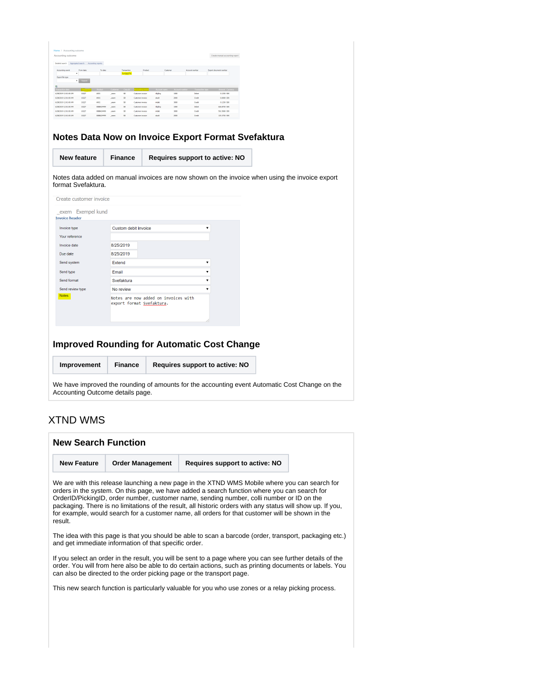<span id="page-3-0"></span>

| Accounting outcome                                   |                |                          |                |                        |                                             |                      |                 |              |                |                         | Create manual accounting report                                                                |
|------------------------------------------------------|----------------|--------------------------|----------------|------------------------|---------------------------------------------|----------------------|-----------------|--------------|----------------|-------------------------|------------------------------------------------------------------------------------------------|
| Detailed search Aggregated search Accounting reports |                |                          |                |                        |                                             |                      |                 |              |                |                         |                                                                                                |
| Accounting event.                                    | From date      | To date                  |                | Transaction<br>%102279 |                                             | Product              |                 | Customer     | Account cumber |                         | Proof document matther                                                                         |
| Export file type                                     | · Soach        |                          |                |                        |                                             |                      |                 |              |                |                         |                                                                                                |
|                                                      |                |                          |                |                        |                                             |                      |                 |              |                |                         |                                                                                                |
| 6/28/2019 12:01:00 AM                                | 19227          | <b>MAD1</b>              | League         | \$9                    | <b>Customer invoice</b>                     |                      | tilgteg         | 1000         | Debet          |                         | 0.1250 SEK                                                                                     |
| 6/28/2009 12:01:00 AM                                | 30227          | AVO1                     | .com           | 58                     | Customer invoice                            |                      | skald           | 2000         | Oads           |                         | 0.0000 SEK                                                                                     |
| 6/28/2019 12:01:00 AM                                | 10227          | <b>MAD1</b>              | even           | Sh.                    | <b>Customer invoice</b>                     |                      | installs        | 3000         | Coste          |                         | 0.1250 500                                                                                     |
| 6/28/2019 12:01:00 AM                                | 20227          | 0088424499               | cent           | 58                     | Customer invoice                            |                      | tilgång         | 1000         | Debet          |                         | 636,8750 589                                                                                   |
| 6/28/2019 12:01:00 AM<br>6/28/2019 12:01:00 AM       | 10227<br>20227 | 0088424499<br>0088424499 | .9887<br>cean  | ss.<br>58              | <b>Customer invoice</b><br>Customer invoice |                      | inside<br>skald | 3000<br>2000 | Orde<br>Oads   |                         | 501,5000 SEK<br>125.3750 SEK                                                                   |
| New feature                                          |                |                          | <b>Finance</b> |                        |                                             |                      |                 |              |                |                         | Requires support to active: NO                                                                 |
|                                                      |                |                          |                |                        |                                             |                      |                 |              |                |                         | Notes data added on manual invoices are now shown on the invoice when using the invoice export |
| format Svefaktura.<br>Create customer invoice        |                |                          |                |                        |                                             |                      |                 |              |                |                         |                                                                                                |
| exem Exempel kund                                    |                |                          |                |                        |                                             |                      |                 |              |                |                         |                                                                                                |
| Invoice type                                         |                |                          |                |                        |                                             | Custom debit invoice |                 |              |                | ۷                       |                                                                                                |
| Your reference                                       |                |                          |                |                        |                                             |                      |                 |              |                |                         |                                                                                                |
| Invoice date                                         |                |                          | 8/25/2019      |                        |                                             |                      |                 |              |                |                         |                                                                                                |
| Due date                                             |                |                          | 8/25/2019      |                        |                                             |                      |                 |              |                |                         |                                                                                                |
| Send system                                          |                |                          | <b>Extend</b>  |                        |                                             |                      |                 |              |                | $\overline{\mathbf{v}}$ |                                                                                                |
| Send type                                            |                |                          | Email          |                        |                                             |                      |                 |              |                | $\mathbf{v}$            |                                                                                                |
| Send format                                          |                |                          |                | Svefaktura             |                                             |                      |                 |              |                | 7                       |                                                                                                |
| <b>Invoice header</b><br>Send review type            |                |                          |                | No review              |                                             |                      |                 |              |                | ▼                       |                                                                                                |

### <span id="page-3-1"></span>**Improved Rounding for Automatic Cost Change**

**Improvement Finance Requires support to active: NO**

We have improved the rounding of amounts for the accounting event Automatic Cost Change on the Accounting Outcome details page.

## <span id="page-3-2"></span>XTND WMS

<span id="page-3-3"></span>

| <b>New Search Function</b> |                                                                       |                                                                                                                                                                                                                                                                                                                                                                                                                                                                                                               |  |
|----------------------------|-----------------------------------------------------------------------|---------------------------------------------------------------------------------------------------------------------------------------------------------------------------------------------------------------------------------------------------------------------------------------------------------------------------------------------------------------------------------------------------------------------------------------------------------------------------------------------------------------|--|
| <b>New Feature</b>         | <b>Order Management</b>                                               | Requires support to active: NO                                                                                                                                                                                                                                                                                                                                                                                                                                                                                |  |
| result.                    |                                                                       | We are with this release launching a new page in the XTND WMS Mobile where you can search for<br>orders in the system. On this page, we have added a search function where you can search for<br>OrderID/PickingID, order number, customer name, sending number, colli number or ID on the<br>packaging. There is no limitations of the result, all historic orders with any status will show up. If you,<br>for example, would search for a customer name, all orders for that customer will be shown in the |  |
|                            | and get immediate information of that specific order.                 | The idea with this page is that you should be able to scan a barcode (order, transport, packaging etc.)                                                                                                                                                                                                                                                                                                                                                                                                       |  |
|                            | can also be directed to the order picking page or the transport page. | If you select an order in the result, you will be sent to a page where you can see further details of the<br>order. You will from here also be able to do certain actions, such as printing documents or labels. You                                                                                                                                                                                                                                                                                          |  |
|                            |                                                                       | This new search function is particularly valuable for you who use zones or a relay picking process.                                                                                                                                                                                                                                                                                                                                                                                                           |  |
|                            |                                                                       |                                                                                                                                                                                                                                                                                                                                                                                                                                                                                                               |  |
|                            |                                                                       |                                                                                                                                                                                                                                                                                                                                                                                                                                                                                                               |  |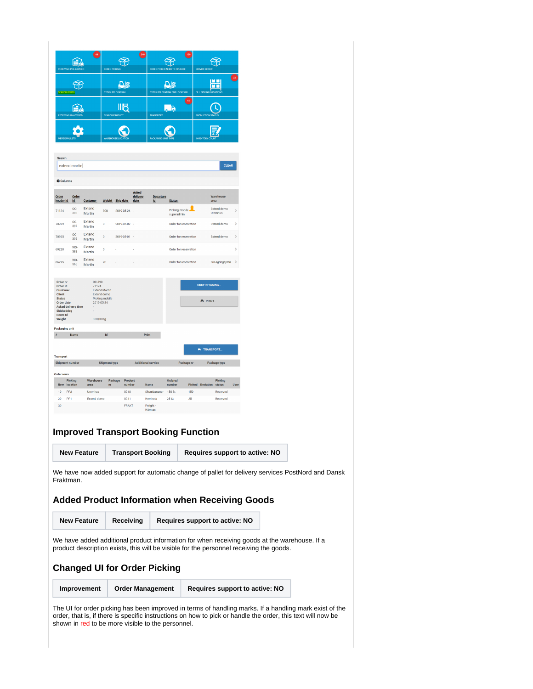|                                                                                                                                                                                |                  |                                                           |                                          |                                              | 248                                     |                                                                |                                        | 129                     |                                                                                                             |             |                                                                                                   |  |
|--------------------------------------------------------------------------------------------------------------------------------------------------------------------------------|------------------|-----------------------------------------------------------|------------------------------------------|----------------------------------------------|-----------------------------------------|----------------------------------------------------------------|----------------------------------------|-------------------------|-------------------------------------------------------------------------------------------------------------|-------------|---------------------------------------------------------------------------------------------------|--|
| <b>RECEIVING PRE-A</b>                                                                                                                                                         | Æ                |                                                           | ORDER PICKING                            |                                              |                                         |                                                                | ORDER PICKED NEED TO FINALIZE          |                         | <b>SERVICE ORDE</b>                                                                                         |             |                                                                                                   |  |
|                                                                                                                                                                                | PF.              |                                                           |                                          | ПŘ                                           |                                         |                                                                | Ω§                                     |                         | MM<br>MM                                                                                                    | 22          |                                                                                                   |  |
| <b>SEARCH ORDER</b>                                                                                                                                                            |                  |                                                           |                                          | STOCK RELOCATION<br>ШĈ                       |                                         |                                                                | STOCK RELOCATION FOR LOCATION          | 41                      | FILL PICKING LOCATION                                                                                       |             |                                                                                                   |  |
| <b>RECEIVING UNADVIS</b>                                                                                                                                                       | H.               |                                                           | SEARCH PRODUCT                           |                                              |                                         | TRANSPORT                                                      | R                                      |                         | <b>PRODUCTION ST.</b>                                                                                       |             |                                                                                                   |  |
| <b>MERGE PALLETS</b>                                                                                                                                                           |                  |                                                           | <b>WAREHOUSE LCC</b>                     |                                              |                                         | <b>PACKAGING UN</b>                                            |                                        |                         | <b>INVENTORY CI</b>                                                                                         |             |                                                                                                   |  |
| Search                                                                                                                                                                         |                  |                                                           |                                          |                                              |                                         |                                                                |                                        |                         |                                                                                                             |             |                                                                                                   |  |
| extend martin                                                                                                                                                                  |                  |                                                           |                                          |                                              |                                         |                                                                |                                        |                         | <b>CLEAR</b>                                                                                                |             |                                                                                                   |  |
| <b>Columns</b>                                                                                                                                                                 |                  |                                                           |                                          |                                              |                                         |                                                                |                                        |                         |                                                                                                             |             |                                                                                                   |  |
| Order<br>header Id                                                                                                                                                             | Order<br>$Id$    | Customer                                                  |                                          | Weight Ship date                             | <b>Asked</b><br>delivery<br><u>date</u> | Departure<br><u>id</u>                                         | <b>Status</b>                          |                         | Warehouse<br>area                                                                                           |             |                                                                                                   |  |
| 71124                                                                                                                                                                          | OC-<br>398       | <b>Extend</b><br>Martin                                   | 300                                      | 2019-05-24 -                                 |                                         |                                                                | Picking mobile.<br>superadmin          |                         | <b>Extend demo</b><br><b>Utomhus</b>                                                                        |             |                                                                                                   |  |
| 70929                                                                                                                                                                          | OC-<br>397       | <b>Extend</b><br>Martin                                   | $\overline{0}$                           | 2019-05-02                                   |                                         |                                                                | Order for reservation                  |                         | <b>Extend demo</b>                                                                                          |             |                                                                                                   |  |
| 70925                                                                                                                                                                          | OC-<br>395       | Extend<br>Martin                                          | $\bf{0}$                                 | 2019-05-01 -                                 |                                         |                                                                | Order for reservation                  |                         | <b>Extend demo</b>                                                                                          |             |                                                                                                   |  |
| 69228                                                                                                                                                                          | WO-<br>382       | Extend<br>Martin                                          | $\mathbf 0$                              |                                              |                                         |                                                                | Order for reservation                  |                         |                                                                                                             |             |                                                                                                   |  |
| 66795                                                                                                                                                                          | WO-<br>366       | Extend<br>Martin                                          | 20                                       |                                              |                                         |                                                                | Order for reservation                  |                         | FriLagringsytan                                                                                             | э           |                                                                                                   |  |
| <b>Packaging unit</b><br>$\overline{p}$<br><b>Transport</b><br><b>Shipment number</b><br><b>Order rows</b><br>Picking<br>Row<br>10<br>PP <sub>2</sub><br>PP <sub>1</sub><br>20 | Name<br>location | Warehouse<br>area<br><b>Utomhus</b><br><b>Extend demo</b> | Id<br><b>Shipment type</b><br>n <b>r</b> | Package<br>Product<br>number<br>0018<br>0041 | Print<br><b>Additional service</b>      | <b>Name</b><br>Skumbananer<br>Hemkola                          | Ordered<br>number<br>150 St<br>$25$ St | Package nr<br>150<br>25 | <b>No</b> TRANSPORT<br>Package type<br>Picking<br><b>Picked Deviation</b><br>status<br>Reserved<br>Reserved | <b>User</b> |                                                                                                   |  |
| 30                                                                                                                                                                             |                  | <b>New Feature</b>                                        |                                          | <b>FRAKT</b>                                 |                                         | Freight -<br>Hämtas<br><b>Transport Booking</b>                | Improved Transport Booking Function    |                         | Requires support to active: NO                                                                              |             |                                                                                                   |  |
|                                                                                                                                                                                |                  |                                                           |                                          |                                              |                                         |                                                                |                                        |                         |                                                                                                             |             |                                                                                                   |  |
| Fraktman.                                                                                                                                                                      |                  |                                                           |                                          |                                              |                                         |                                                                |                                        |                         | <b>Added Product Information when Receiving Goods</b>                                                       |             | We have now added support for automatic change of pallet for delivery services PostNord and Dansk |  |
|                                                                                                                                                                                |                  | <b>New Feature</b>                                        |                                          | Receiving                                    |                                         |                                                                |                                        |                         | Requires support to active: NO                                                                              |             |                                                                                                   |  |
|                                                                                                                                                                                |                  |                                                           |                                          |                                              |                                         |                                                                |                                        |                         | product description exists, this will be visible for the personnel receiving the goods.                     |             | We have added additional product information for when receiving goods at the warehouse. If a      |  |
|                                                                                                                                                                                |                  | Improvement                                               |                                          |                                              |                                         | <b>Changed UI for Order Picking</b><br><b>Order Management</b> |                                        |                         | Requires support to active: NO                                                                              |             |                                                                                                   |  |

<span id="page-4-2"></span><span id="page-4-1"></span><span id="page-4-0"></span>The UI for order picking has been improved in terms of handling marks. If a handling mark exist of the order, that is, if there is specific instructions on how to pick or handle the order, this text will now be shown in red to be more visible to the personnel.